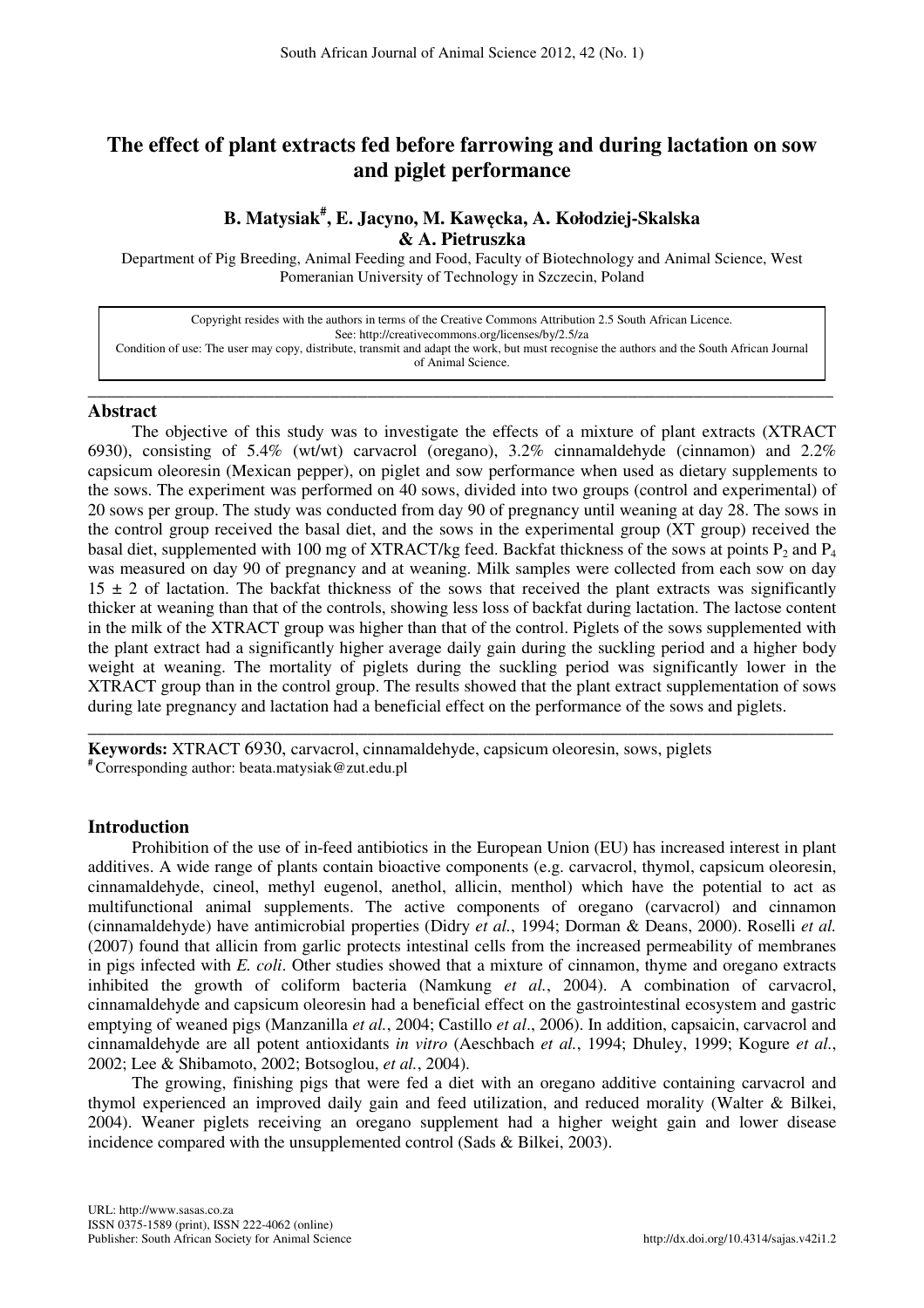# **The effect of plant extracts fed before farrowing and during lactation on sow and piglet performance**

## **B. Matysiak# , E. Jacyno, M. Kaw**ę**cka, A. Kołodziej-Skalska & A. Pietruszka**

Department of Pig Breeding, Animal Feeding and Food, Faculty of Biotechnology and Animal Science, West Pomeranian University of Technology in Szczecin, Poland

Copyright resides with the authors in terms of the Creative Commons Attribution 2.5 South African Licence. See: http://creativecommons.org/licenses/by/2.5/za Condition of use: The user may copy, distribute, transmit and adapt the work, but must recognise the authors and the South African Journal of Animal Science.

\_\_\_\_\_\_\_\_\_\_\_\_\_\_\_\_\_\_\_\_\_\_\_\_\_\_\_\_\_\_\_\_\_\_\_\_\_\_\_\_\_\_\_\_\_\_\_\_\_\_\_\_\_\_\_\_\_\_\_\_\_\_\_\_\_\_\_\_\_\_\_\_\_\_\_\_\_\_\_\_

## **Abstract**

The objective of this study was to investigate the effects of a mixture of plant extracts (XTRACT 6930), consisting of 5.4% (wt/wt) carvacrol (oregano), 3.2% cinnamaldehyde (cinnamon) and 2.2% capsicum oleoresin (Mexican pepper), on piglet and sow performance when used as dietary supplements to the sows. The experiment was performed on 40 sows, divided into two groups (control and experimental) of 20 sows per group. The study was conducted from day 90 of pregnancy until weaning at day 28. The sows in the control group received the basal diet, and the sows in the experimental group (XT group) received the basal diet, supplemented with 100 mg of XTRACT/kg feed. Backfat thickness of the sows at points  $P_2$  and  $P_4$ was measured on day 90 of pregnancy and at weaning. Milk samples were collected from each sow on day  $15 \pm 2$  of lactation. The backfat thickness of the sows that received the plant extracts was significantly thicker at weaning than that of the controls, showing less loss of backfat during lactation. The lactose content in the milk of the XTRACT group was higher than that of the control. Piglets of the sows supplemented with the plant extract had a significantly higher average daily gain during the suckling period and a higher body weight at weaning. The mortality of piglets during the suckling period was significantly lower in the XTRACT group than in the control group. The results showed that the plant extract supplementation of sows during late pregnancy and lactation had a beneficial effect on the performance of the sows and piglets.

\_\_\_\_\_\_\_\_\_\_\_\_\_\_\_\_\_\_\_\_\_\_\_\_\_\_\_\_\_\_\_\_\_\_\_\_\_\_\_\_\_\_\_\_\_\_\_\_\_\_\_\_\_\_\_\_\_\_\_\_\_\_\_\_\_\_\_\_\_\_\_\_\_\_\_\_\_\_\_\_

**Keywords:** XTRACT 6930, carvacrol, cinnamaldehyde, capsicum oleoresin, sows, piglets **#** Corresponding author: beata.matysiak@zut.edu.pl

## **Introduction**

Prohibition of the use of in-feed antibiotics in the European Union (EU) has increased interest in plant additives. A wide range of plants contain bioactive components (e.g. carvacrol, thymol, capsicum oleoresin, cinnamaldehyde, cineol, methyl eugenol, anethol, allicin, menthol) which have the potential to act as multifunctional animal supplements. The active components of oregano (carvacrol) and cinnamon (cinnamaldehyde) have antimicrobial properties (Didry *et al.*, 1994; Dorman & Deans, 2000). Roselli *et al.* (2007) found that allicin from garlic protects intestinal cells from the increased permeability of membranes in pigs infected with *E. coli*. Other studies showed that a mixture of cinnamon, thyme and oregano extracts inhibited the growth of coliform bacteria (Namkung *et al.*, 2004). A combination of carvacrol, cinnamaldehyde and capsicum oleoresin had a beneficial effect on the gastrointestinal ecosystem and gastric emptying of weaned pigs (Manzanilla *et al.*, 2004; Castillo *et al*., 2006). In addition, capsaicin, carvacrol and cinnamaldehyde are all potent antioxidants *in vitro* (Aeschbach *et al.*, 1994; Dhuley, 1999; Kogure *et al.*, 2002; Lee & Shibamoto, 2002; Botsoglou, *et al.*, 2004).

The growing, finishing pigs that were fed a diet with an oregano additive containing carvacrol and thymol experienced an improved daily gain and feed utilization, and reduced morality (Walter & Bilkei, 2004). Weaner piglets receiving an oregano supplement had a higher weight gain and lower disease incidence compared with the unsupplemented control (Sads & Bilkei, 2003).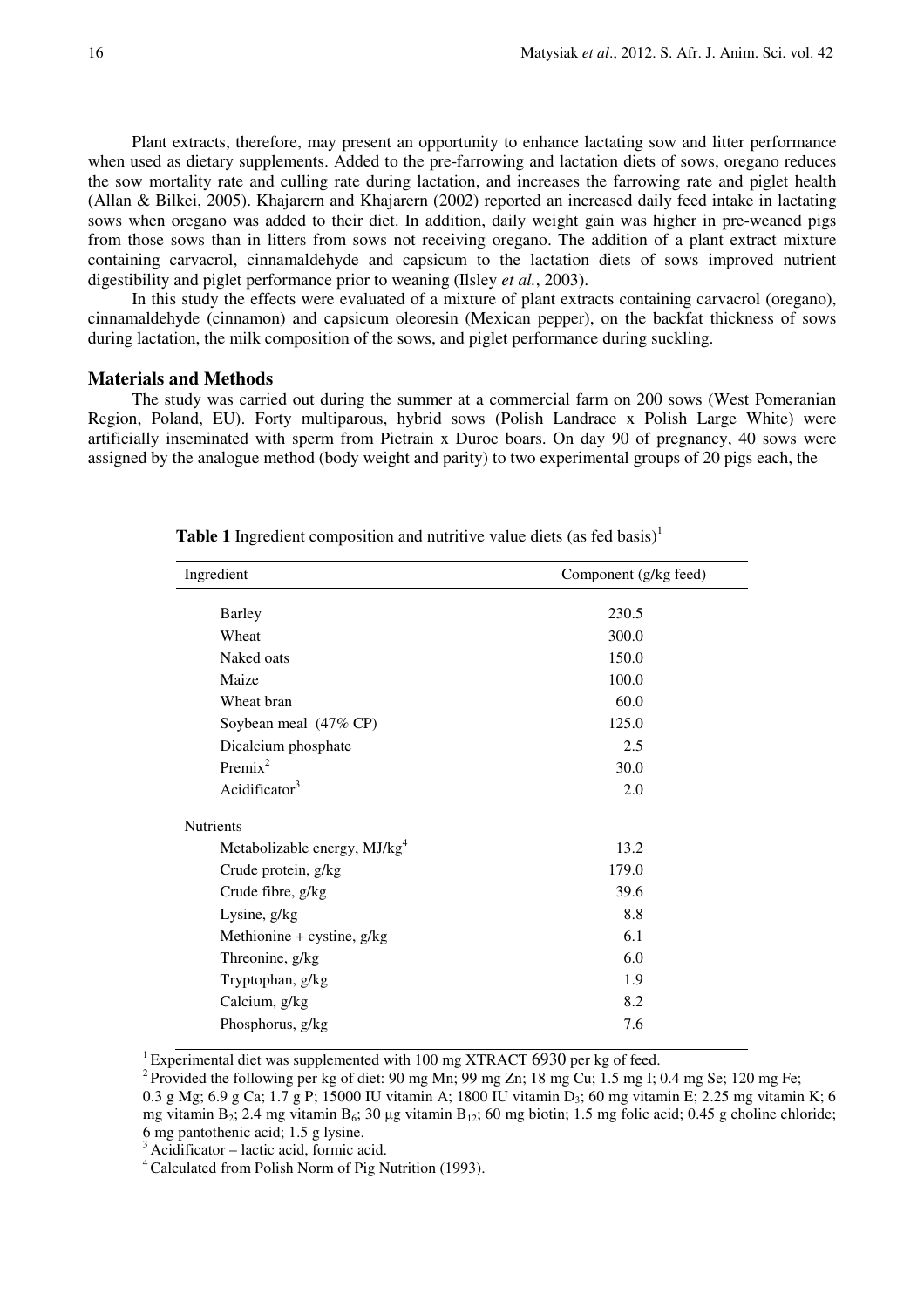Plant extracts, therefore, may present an opportunity to enhance lactating sow and litter performance when used as dietary supplements. Added to the pre-farrowing and lactation diets of sows, oregano reduces the sow mortality rate and culling rate during lactation, and increases the farrowing rate and piglet health (Allan & Bilkei, 2005). Khajarern and Khajarern (2002) reported an increased daily feed intake in lactating sows when oregano was added to their diet. In addition, daily weight gain was higher in pre-weaned pigs from those sows than in litters from sows not receiving oregano. The addition of a plant extract mixture containing carvacrol, cinnamaldehyde and capsicum to the lactation diets of sows improved nutrient digestibility and piglet performance prior to weaning (Ilsley *et al.*, 2003).

In this study the effects were evaluated of a mixture of plant extracts containing carvacrol (oregano), cinnamaldehyde (cinnamon) and capsicum oleoresin (Mexican pepper), on the backfat thickness of sows during lactation, the milk composition of the sows, and piglet performance during suckling.

#### **Materials and Methods**

The study was carried out during the summer at a commercial farm on 200 sows (West Pomeranian Region, Poland, EU). Forty multiparous, hybrid sows (Polish Landrace x Polish Large White) were artificially inseminated with sperm from Pietrain x Duroc boars. On day 90 of pregnancy, 40 sows were assigned by the analogue method (body weight and parity) to two experimental groups of 20 pigs each, the

| Ingredient                               | Component (g/kg feed) |
|------------------------------------------|-----------------------|
|                                          |                       |
| <b>Barley</b>                            | 230.5                 |
| Wheat                                    | 300.0                 |
| Naked oats                               | 150.0                 |
| Maize                                    | 100.0                 |
| Wheat bran                               | 60.0                  |
| Soybean meal (47% CP)                    | 125.0                 |
| Dicalcium phosphate                      | 2.5                   |
| $Premix^2$                               | 30.0                  |
| Acidificator $3$                         | 2.0                   |
| <b>Nutrients</b>                         |                       |
| Metabolizable energy, MJ/kg <sup>4</sup> | 13.2                  |
| Crude protein, g/kg                      | 179.0                 |
| Crude fibre, g/kg                        | 39.6                  |
| Lysine, g/kg                             | 8.8                   |
| Methionine + cystine, $g/kg$             | 6.1                   |
| Threonine, g/kg                          | 6.0                   |
| Tryptophan, g/kg                         | 1.9                   |
| Calcium, g/kg                            | 8.2                   |
| Phosphorus, g/kg                         | 7.6                   |

Table 1 Ingredient composition and nutritive value diets (as fed basis)<sup>1</sup>

<sup>1</sup> Experimental diet was supplemented with 100 mg XTRACT 6930 per kg of feed.

<sup>2</sup> Provided the following per kg of diet: 90 mg Mn; 99 mg Zn; 18 mg Cu; 1.5 mg I; 0.4 mg Se; 120 mg Fe;

0.3 g Mg; 6.9 g Ca; 1.7 g P; 15000 IU vitamin A; 1800 IU vitamin  $D_3$ ; 60 mg vitamin E; 2.25 mg vitamin K; 6 mg vitamin  $B_2$ ; 2.4 mg vitamin  $B_6$ ; 30 µg vitamin  $B_{12}$ ; 60 mg biotin; 1.5 mg folic acid; 0.45 g choline chloride; 6 mg pantothenic acid; 1.5 g lysine.

 $3$ Acidificator – lactic acid, formic acid.

<sup>4</sup>Calculated from Polish Norm of Pig Nutrition (1993).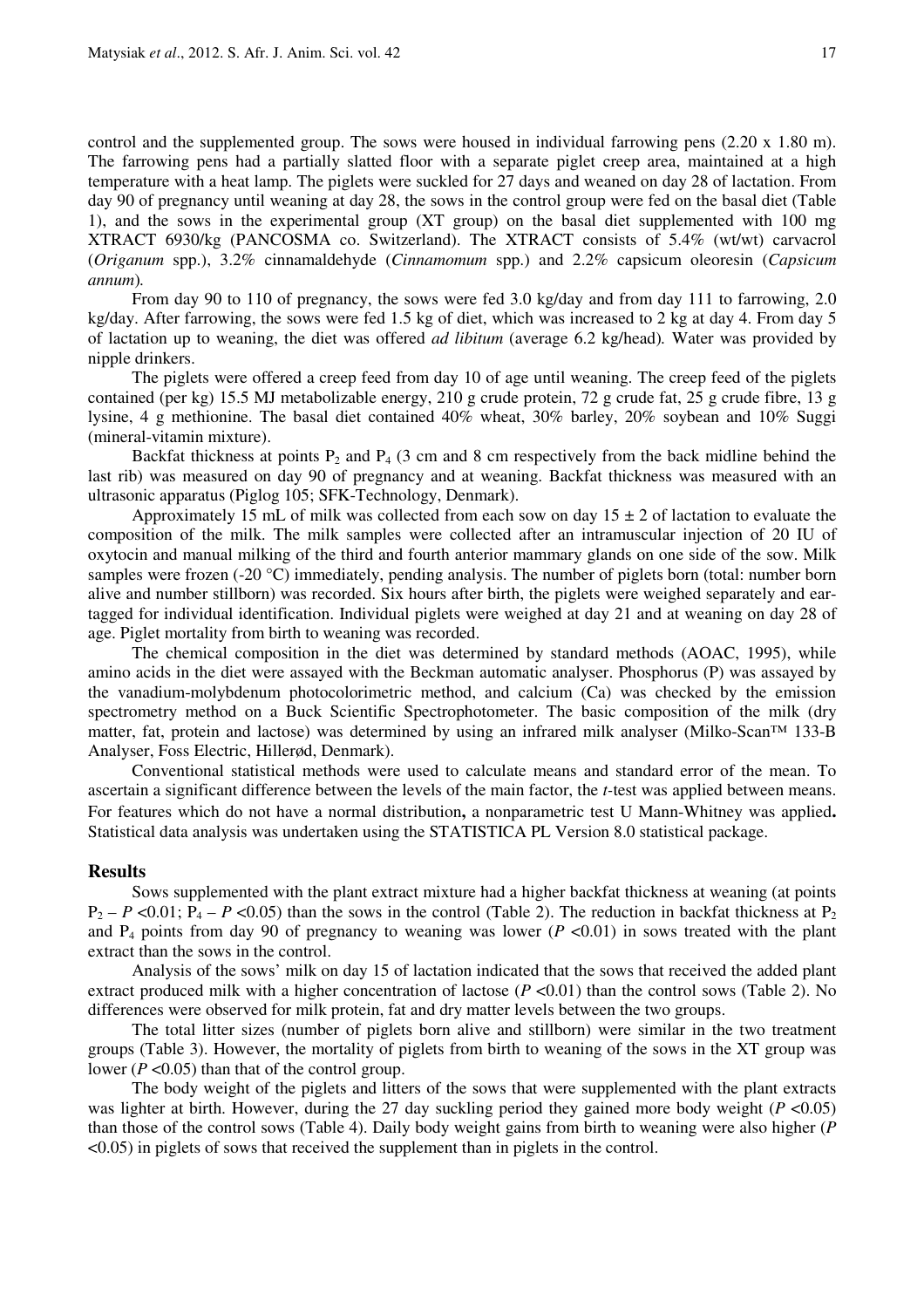control and the supplemented group. The sows were housed in individual farrowing pens (2.20 x 1.80 m). The farrowing pens had a partially slatted floor with a separate piglet creep area, maintained at a high temperature with a heat lamp. The piglets were suckled for 27 days and weaned on day 28 of lactation. From day 90 of pregnancy until weaning at day 28, the sows in the control group were fed on the basal diet (Table 1), and the sows in the experimental group (XT group) on the basal diet supplemented with 100 mg XTRACT 6930/kg (PANCOSMA co. Switzerland). The XTRACT consists of 5.4% (wt/wt) carvacrol (*Origanum* spp.), 3.2% cinnamaldehyde (*Cinnamomum* spp.) and 2.2% capsicum oleoresin (*Capsicum annum*)*.* 

From day 90 to 110 of pregnancy, the sows were fed 3.0 kg/day and from day 111 to farrowing, 2.0 kg/day. After farrowing, the sows were fed 1.5 kg of diet, which was increased to 2 kg at day 4. From day 5 of lactation up to weaning, the diet was offered *ad libitum* (average 6.2 kg/head)*.* Water was provided by nipple drinkers.

The piglets were offered a creep feed from day 10 of age until weaning. The creep feed of the piglets contained (per kg) 15.5 MJ metabolizable energy, 210 g crude protein, 72 g crude fat, 25 g crude fibre, 13 g lysine, 4 g methionine. The basal diet contained 40% wheat, 30% barley, 20% soybean and 10% Suggi (mineral-vitamin mixture).

Backfat thickness at points  $P_2$  and  $P_4$  (3 cm and 8 cm respectively from the back midline behind the last rib) was measured on day 90 of pregnancy and at weaning. Backfat thickness was measured with an ultrasonic apparatus (Piglog 105; SFK-Technology, Denmark).

Approximately 15 mL of milk was collected from each sow on day  $15 \pm 2$  of lactation to evaluate the composition of the milk. The milk samples were collected after an intramuscular injection of 20 IU of oxytocin and manual milking of the third and fourth anterior mammary glands on one side of the sow. Milk samples were frozen (-20 °C) immediately, pending analysis. The number of piglets born (total: number born alive and number stillborn) was recorded. Six hours after birth, the piglets were weighed separately and eartagged for individual identification. Individual piglets were weighed at day 21 and at weaning on day 28 of age. Piglet mortality from birth to weaning was recorded.

The chemical composition in the diet was determined by standard methods (AOAC, 1995), while amino acids in the diet were assayed with the Beckman automatic analyser. Phosphorus (P) was assayed by the vanadium-molybdenum photocolorimetric method, and calcium (Ca) was checked by the emission spectrometry method on a Buck Scientific Spectrophotometer. The basic composition of the milk (dry matter, fat, protein and lactose) was determined by using an infrared milk analyser (Milko-Scan™ 133-B Analyser, Foss Electric, Hillerød, Denmark).

Conventional statistical methods were used to calculate means and standard error of the mean. To ascertain a significant difference between the levels of the main factor, the *t-*test was applied between means. For features which do not have a normal distribution**,** a nonparametric test U Mann-Whitney was applied**.**  Statistical data analysis was undertaken using the STATISTICA PL Version 8.0 statistical package.

#### **Results**

Sows supplemented with the plant extract mixture had a higher backfat thickness at weaning (at points  $P_2 - P \le 0.01$ ;  $P_4 - P \le 0.05$ ) than the sows in the control (Table 2). The reduction in backfat thickness at P<sub>2</sub> and  $P_4$  points from day 90 of pregnancy to weaning was lower ( $P < 0.01$ ) in sows treated with the plant extract than the sows in the control.

Analysis of the sows' milk on day 15 of lactation indicated that the sows that received the added plant extract produced milk with a higher concentration of lactose (*P* <0.01) than the control sows (Table 2). No differences were observed for milk protein, fat and dry matter levels between the two groups.

The total litter sizes (number of piglets born alive and stillborn) were similar in the two treatment groups (Table 3). However, the mortality of piglets from birth to weaning of the sows in the XT group was lower ( $P \le 0.05$ ) than that of the control group.

The body weight of the piglets and litters of the sows that were supplemented with the plant extracts was lighter at birth. However, during the 27 day suckling period they gained more body weight (*P* <0.05) than those of the control sows (Table 4). Daily body weight gains from birth to weaning were also higher (*P*  <0.05) in piglets of sows that received the supplement than in piglets in the control.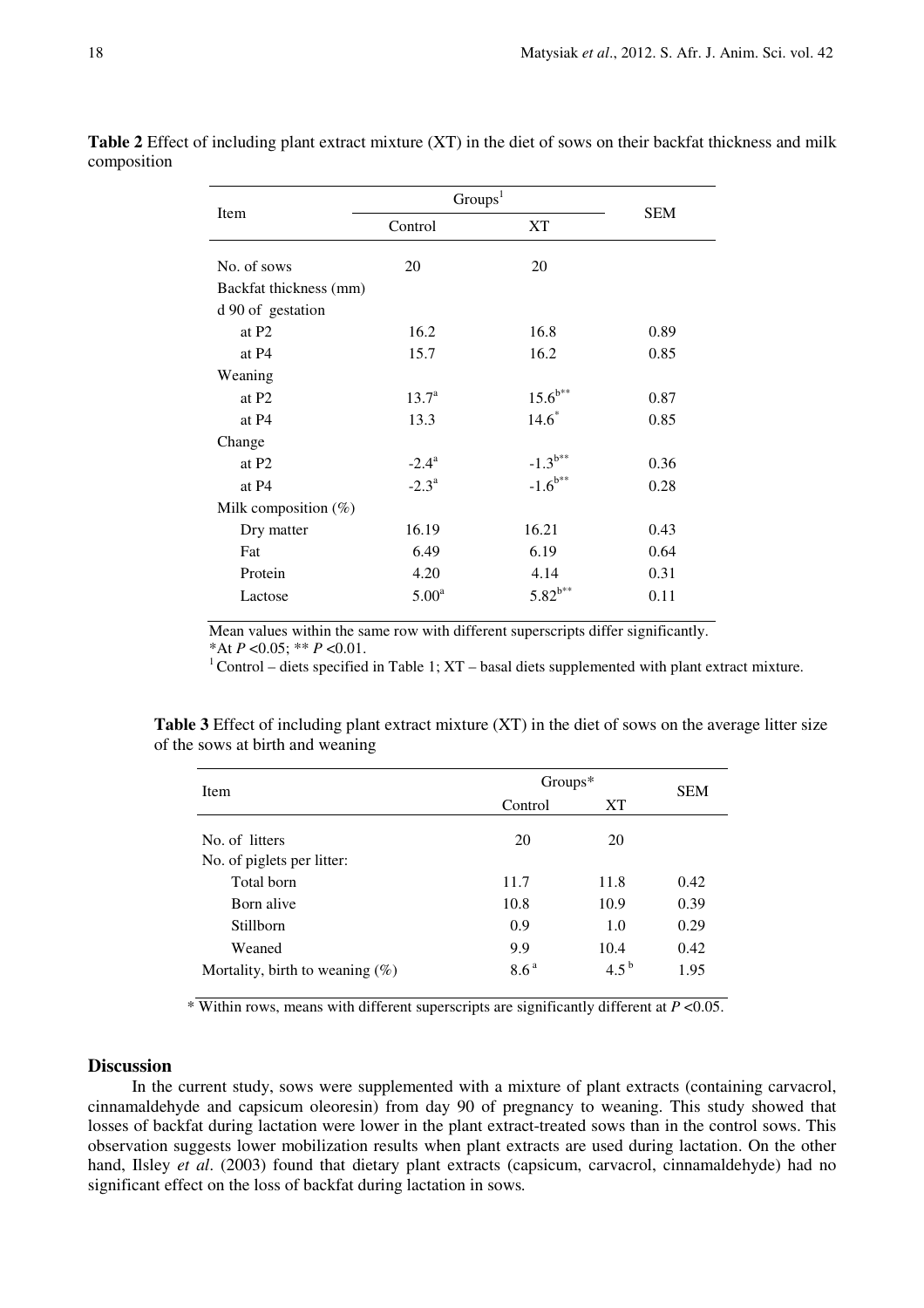|                         | Groups <sup>1</sup> |              |            |  |
|-------------------------|---------------------|--------------|------------|--|
| Item                    | Control             | XT           | <b>SEM</b> |  |
| No. of sows             | 20                  | 20           |            |  |
| Backfat thickness (mm)  |                     |              |            |  |
| d 90 of gestation       |                     |              |            |  |
| at P <sub>2</sub>       | 16.2                | 16.8         | 0.89       |  |
| at P4                   | 15.7                | 16.2         | 0.85       |  |
| Weaning                 |                     |              |            |  |
| at P <sub>2</sub>       | $13.7^{\circ}$      | $15.6^{b**}$ | 0.87       |  |
| at P4                   | 13.3                | $14.6*$      | 0.85       |  |
| Change                  |                     |              |            |  |
| at P <sub>2</sub>       | $-2.4^{\rm a}$      | $-1.3^{b**}$ | 0.36       |  |
| at P4                   | $-2.3^{\rm a}$      | $-1.6^{b**}$ | 0.28       |  |
| Milk composition $(\%)$ |                     |              |            |  |
| Dry matter              | 16.19               | 16.21        | 0.43       |  |
| Fat                     | 6.49                | 6.19         | 0.64       |  |
| Protein                 | 4.20                | 4.14         | 0.31       |  |
| Lactose                 | 5.00 <sup>a</sup>   | $5.82^{b**}$ | 0.11       |  |

**Table 2** Effect of including plant extract mixture (XT) in the diet of sows on their backfat thickness and milk composition

Mean values within the same row with different superscripts differ significantly.

\*At *P* <0.05; \*\* *P* <0.01.

 $1$ Control – diets specified in Table 1; XT – basal diets supplemented with plant extract mixture.

**Table 3** Effect of including plant extract mixture (XT) in the diet of sows on the average litter size of the sows at birth and weaning

| Item                               | $Groups*$        |           |            |
|------------------------------------|------------------|-----------|------------|
|                                    | Control          | XT        | <b>SEM</b> |
| No. of litters                     | 20               | 20        |            |
| No. of piglets per litter:         |                  |           |            |
| Total born                         | 11.7             | 11.8      | 0.42       |
| Born alive                         | 10.8             | 10.9      | 0.39       |
| <b>Stillborn</b>                   | 0.9              | 1.0       | 0.29       |
| Weaned                             | 9.9              | 10.4      | 0.42       |
| Mortality, birth to weaning $(\%)$ | 8.6 <sup>a</sup> | $4.5^{b}$ | 1.95       |

\* Within rows, means with different superscripts are significantly different at *P* <0.05.

## **Discussion**

In the current study, sows were supplemented with a mixture of plant extracts (containing carvacrol, cinnamaldehyde and capsicum oleoresin) from day 90 of pregnancy to weaning. This study showed that losses of backfat during lactation were lower in the plant extract-treated sows than in the control sows. This observation suggests lower mobilization results when plant extracts are used during lactation. On the other hand, Ilsley *et al*. (2003) found that dietary plant extracts (capsicum, carvacrol, cinnamaldehyde) had no significant effect on the loss of backfat during lactation in sows*.*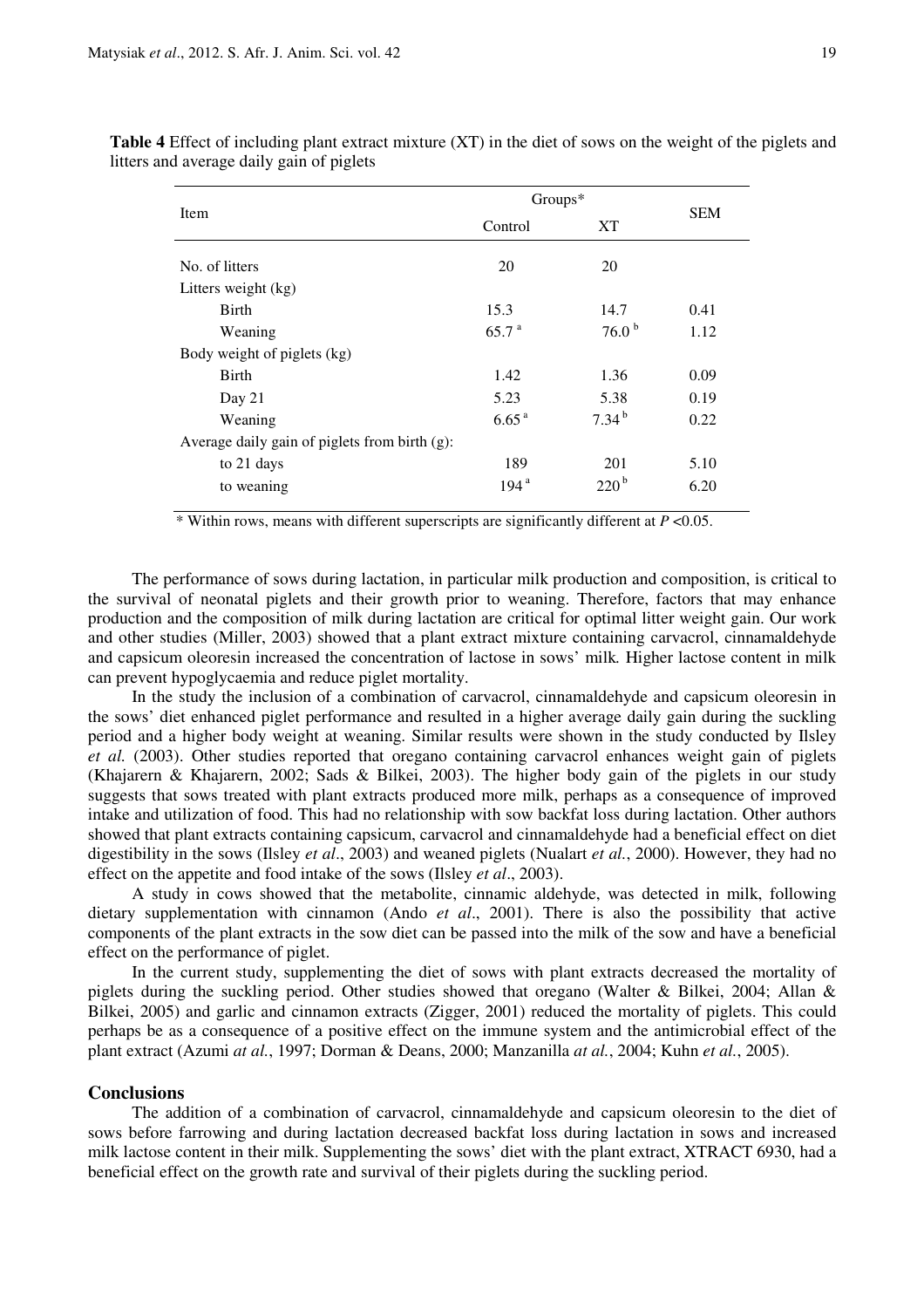| Item                                             | $Groups*$         |                    |            |
|--------------------------------------------------|-------------------|--------------------|------------|
|                                                  | Control           | XT                 | <b>SEM</b> |
| No. of litters                                   | 20                | 20                 |            |
| Litters weight (kg)                              |                   |                    |            |
| Birth                                            | 15.3              | 14.7               | 0.41       |
| Weaning                                          | 65.7 <sup>a</sup> | 76.0 <sup>b</sup>  | 1.12       |
| Body weight of piglets (kg)                      |                   |                    |            |
| <b>Birth</b>                                     | 1.42              | 1.36               | 0.09       |
| Day 21                                           | 5.23              | 5.38               | 0.19       |
| Weaning                                          | 6.65 <sup>a</sup> | $7.34^{b}$         | 0.22       |
| Average daily gain of piglets from birth $(g)$ : |                   |                    |            |
| to 21 days                                       | 189               | 201                | 5.10       |
| to weaning                                       | 194 <sup>a</sup>  | $220^{\mathrm{b}}$ | 6.20       |

**Table 4** Effect of including plant extract mixture (XT) in the diet of sows on the weight of the piglets and litters and average daily gain of piglets

\* Within rows, means with different superscripts are significantly different at *P* <0.05.

The performance of sows during lactation, in particular milk production and composition, is critical to the survival of neonatal piglets and their growth prior to weaning. Therefore, factors that may enhance production and the composition of milk during lactation are critical for optimal litter weight gain. Our work and other studies (Miller, 2003) showed that a plant extract mixture containing carvacrol, cinnamaldehyde and capsicum oleoresin increased the concentration of lactose in sows' milk*.* Higher lactose content in milk can prevent hypoglycaemia and reduce piglet mortality.

In the study the inclusion of a combination of carvacrol, cinnamaldehyde and capsicum oleoresin in the sows' diet enhanced piglet performance and resulted in a higher average daily gain during the suckling period and a higher body weight at weaning. Similar results were shown in the study conducted by Ilsley *et al.* (2003). Other studies reported that oregano containing carvacrol enhances weight gain of piglets (Khajarern & Khajarern, 2002; Sads & Bilkei, 2003). The higher body gain of the piglets in our study suggests that sows treated with plant extracts produced more milk, perhaps as a consequence of improved intake and utilization of food. This had no relationship with sow backfat loss during lactation. Other authors showed that plant extracts containing capsicum, carvacrol and cinnamaldehyde had a beneficial effect on diet digestibility in the sows (Ilsley *et al*., 2003) and weaned piglets (Nualart *et al.*, 2000). However, they had no effect on the appetite and food intake of the sows (Ilsley *et al*., 2003).

A study in cows showed that the metabolite, cinnamic aldehyde, was detected in milk, following dietary supplementation with cinnamon (Ando *et al*., 2001). There is also the possibility that active components of the plant extracts in the sow diet can be passed into the milk of the sow and have a beneficial effect on the performance of piglet.

In the current study, supplementing the diet of sows with plant extracts decreased the mortality of piglets during the suckling period. Other studies showed that oregano (Walter & Bilkei, 2004; Allan & Bilkei, 2005) and garlic and cinnamon extracts (Zigger, 2001) reduced the mortality of piglets. This could perhaps be as a consequence of a positive effect on the immune system and the antimicrobial effect of the plant extract (Azumi *at al.*, 1997; Dorman & Deans, 2000; Manzanilla *at al.*, 2004; Kuhn *et al.*, 2005).

## **Conclusions**

The addition of a combination of carvacrol, cinnamaldehyde and capsicum oleoresin to the diet of sows before farrowing and during lactation decreased backfat loss during lactation in sows and increased milk lactose content in their milk. Supplementing the sows' diet with the plant extract, XTRACT 6930, had a beneficial effect on the growth rate and survival of their piglets during the suckling period.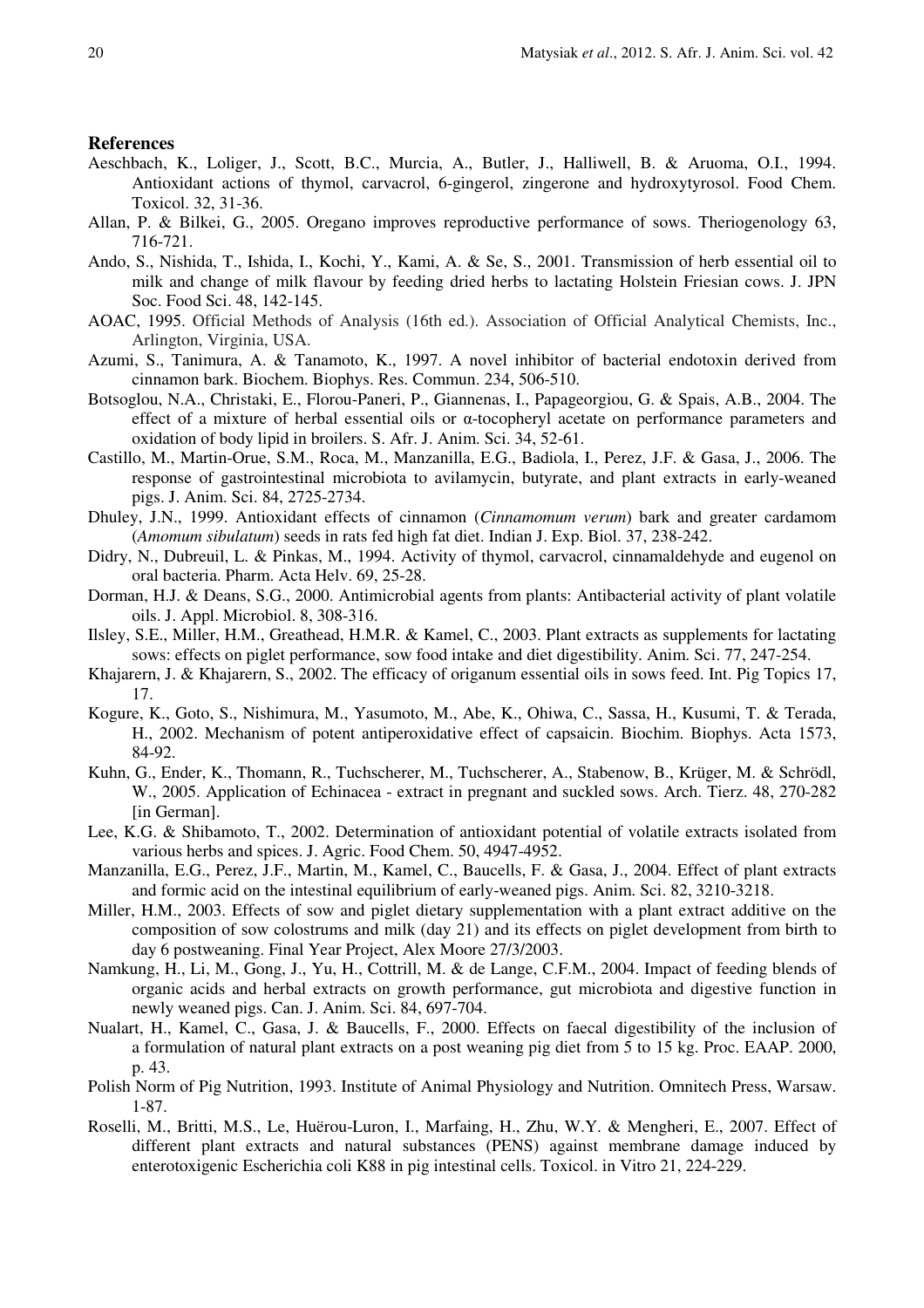#### **References**

- Aeschbach, K., Loliger, J., Scott, B.C., Murcia, A., Butler, J., Halliwell, B. & Aruoma, O.I., 1994. Antioxidant actions of thymol, carvacrol, 6-gingerol, zingerone and hydroxytyrosol. Food Chem. Toxicol. 32, 31-36.
- Allan, P. & Bilkei, G., 2005. Oregano improves reproductive performance of sows. Theriogenology 63, 716-721.
- Ando, S., Nishida, T., Ishida, I., Kochi, Y., Kami, A. & Se, S., 2001. Transmission of herb essential oil to milk and change of milk flavour by feeding dried herbs to lactating Holstein Friesian cows. J. JPN Soc. Food Sci. 48, 142-145.
- AOAC, 1995. Official Methods of Analysis (16th ed.). Association of Official Analytical Chemists, Inc., Arlington, Virginia, USA.
- Azumi, S., Tanimura, A. & Tanamoto, K., 1997. A novel inhibitor of bacterial endotoxin derived from cinnamon bark. Biochem. Biophys. Res. Commun. 234, 506-510.
- Botsoglou, N.A., Christaki, E., Florou-Paneri, P., Giannenas, I., Papageorgiou, G. & Spais, A.B., 2004. The effect of a mixture of herbal essential oils or α-tocopheryl acetate on performance parameters and oxidation of body lipid in broilers. S. Afr. J. Anim. Sci. 34, 52-61.
- Castillo, M., Martin-Orue, S.M., Roca, M., Manzanilla, E.G., Badiola, I., Perez, J.F. & Gasa, J., 2006. The response of gastrointestinal microbiota to avilamycin, butyrate, and plant extracts in early-weaned pigs. J. Anim. Sci. 84, 2725-2734.
- Dhuley, J.N., 1999. Antioxidant effects of cinnamon (*Cinnamomum verum*) bark and greater cardamom (*Amomum sibulatum*) seeds in rats fed high fat diet. Indian J. Exp. Biol. 37, 238-242.
- Didry, N., Dubreuil, L. & Pinkas, M., 1994. Activity of thymol, carvacrol, cinnamaldehyde and eugenol on oral bacteria. Pharm. Acta Helv. 69, 25-28.
- Dorman, H.J. & Deans, S.G., 2000. Antimicrobial agents from plants: Antibacterial activity of plant volatile oils. J. Appl. Microbiol. 8, 308-316.
- Ilsley, S.E., Miller, H.M., Greathead, H.M.R. & Kamel, C., 2003. Plant extracts as supplements for lactating sows: effects on piglet performance, sow food intake and diet digestibility. Anim. Sci. 77, 247-254.
- Khajarern, J. & Khajarern, S., 2002. The efficacy of origanum essential oils in sows feed. Int. Pig Topics 17, 17.
- Kogure, K., Goto, S., Nishimura, M., Yasumoto, M., Abe, K., Ohiwa, C., Sassa, H., Kusumi, T. & Terada, H., 2002. Mechanism of potent antiperoxidative effect of capsaicin. Biochim. Biophys. Acta 1573, 84-92.
- Kuhn, G., Ender, K., Thomann, R., Tuchscherer, M., Tuchscherer, A., Stabenow, B., Krüger, M. & Schrödl, W., 2005. Application of Echinacea - extract in pregnant and suckled sows. Arch. Tierz. 48, 270-282 [in German].
- Lee, K.G. & Shibamoto, T., 2002. Determination of antioxidant potential of volatile extracts isolated from various herbs and spices. J. Agric. Food Chem. 50, 4947-4952.
- Manzanilla, E.G., Perez, J.F., Martin, M., Kamel, C., Baucells, F. & Gasa, J., 2004. Effect of plant extracts and formic acid on the intestinal equilibrium of early-weaned pigs. Anim. Sci. 82, 3210-3218.
- Miller, H.M., 2003. Effects of sow and piglet dietary supplementation with a plant extract additive on the composition of sow colostrums and milk (day 21) and its effects on piglet development from birth to day 6 postweaning. Final Year Project, Alex Moore 27/3/2003.
- Namkung, H., Li, M., Gong, J., Yu, H., Cottrill, M. & de Lange, C.F.M., 2004. Impact of feeding blends of organic acids and herbal extracts on growth performance, gut microbiota and digestive function in newly weaned pigs. Can. J. Anim. Sci. 84, 697-704.
- Nualart, H., Kamel, C., Gasa, J. & Baucells, F., 2000. Effects on faecal digestibility of the inclusion of a formulation of natural plant extracts on a post weaning pig diet from 5 to 15 kg. Proc. EAAP. 2000, p. 43.
- Polish Norm of Pig Nutrition, 1993. Institute of Animal Physiology and Nutrition. Omnitech Press, Warsaw. 1-87.
- Roselli, M., Britti, M.S., Le, Huërou-Luron, I., Marfaing, H., Zhu, W.Y. & Mengheri, E., 2007. Effect of different plant extracts and natural substances (PENS) against membrane damage induced by enterotoxigenic Escherichia coli K88 in pig intestinal cells. Toxicol. in Vitro 21, 224-229.